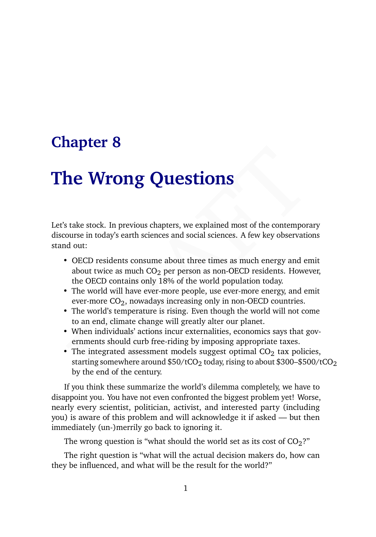## **Chapter 8**

# **The Wrong Questions**

Let's take stock. In previous chapters, we explained most of the contemporary discourse in today's earth sciences and social sciences. A few key observations stand out:

- OECD residents consume about three times as much energy and emit about twice as much  $CO<sub>2</sub>$  per person as non-OECD residents. However, the OECD contains only 18% of the world population today.
- The world will have ever-more people, use ever-more energy, and emit ever-more  $CO<sub>2</sub>$ , nowadays increasing only in non-OECD countries.
- The world's temperature is rising. Even though the world will not come to an end, climate change will greatly alter our planet.
- When individuals' actions incur externalities, economics says that governments should curb free-riding by imposing appropriate taxes.
- **LET WE ALT SET CONDUCTS CONTIGNS**<br>
SERVICIONS STATE STATE INTO THE INTERTATION ON the contemporary<br>
STATE INTERTATIONS SATE INTERTATIONS AND NOTE THE INTERTATION OF THE WORD THE WORD THE WORD THE WORD THE WORD THE WORD T • The integrated assessment models suggest optimal  $CO<sub>2</sub>$  tax policies, starting somewhere around  $$50/tCO<sub>2</sub>$  today, rising to about \$300-\$500/tCO<sub>2</sub> by the end of the century.

If you think these summarize the world's dilemma completely, we have to disappoint you. You have not even confronted the biggest problem yet! Worse, nearly every scientist, politician, activist, and interested party (including you) is aware of this problem and will acknowledge it if asked — but then immediately (un-)merrily go back to ignoring it.

The wrong question is "what should the world set as its cost of  $CO<sub>2</sub>$ ?"

The right question is "what will the actual decision makers do, how can they be influenced, and what will be the result for the world?"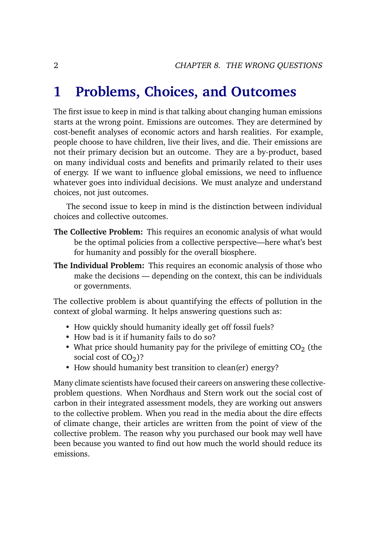### **1 Problems, Choices, and Outcomes**

The first issue to keep in mind is that talking about changing human emissions starts at the wrong point. Emissions are outcomes. They are determined by cost-benefit analyses of economic actors and harsh realities. For example, people choose to have children, live their lives, and die. Their emissions are not their primary decision but an outcome. They are a by-product, based on many individual costs and benefits and primarily related to their uses of energy. If we want to influence global emissions, we need to influence whatever goes into individual decisions. We must analyze and understand choices, not just outcomes.

The second issue to keep in mind is the distinction between individual choices and collective outcomes.

- **The Collective Problem:** This requires an economic analysis of what would be the optimal policies from a collective perspective—here what's best for humanity and possibly for the overall biosphere.
- **The Individual Problem:** This requires an economic analysis of those who make the decisions — depending on the context, this can be individuals or governments.

The collective problem is about quantifying the effects of pollution in the context of global warming. It helps answering questions such as:

- How quickly should humanity ideally get off fossil fuels?
- How bad is it if humanity fails to do so?
- What price should humanity pay for the privilege of emitting  $CO<sub>2</sub>$  (the social cost of  $CO<sub>2</sub>$ )?
- How should humanity best transition to clean(er) energy?

Many climate scientists have focused their careers on answering these collectiveproblem questions. When Nordhaus and Stern work out the social cost of carbon in their integrated assessment models, they are working out answers to the collective problem. When you read in the media about the dire effects of climate change, their articles are written from the point of view of the collective problem. The reason why you purchased our book may well have been because you wanted to find out how much the world should reduce its emissions.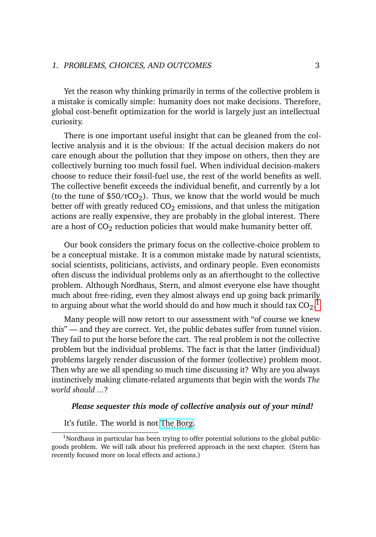#### 1. PROBLEMS, CHOICES, AND OUTCOMES 3

Yet the reason why thinking primarily in terms of the collective problem is a mistake is comically simple: humanity does not make decisions. Therefore, global cost-benefit optimization for the world is largely just an intellectual curiosity.

There is one important useful insight that can be gleaned from the collective analysis and it is the obvious: If the actual decision makers do not care enough about the pollution that they impose on others, then they are collectively burning too much fossil fuel. When individual decision-makers choose to reduce their fossil-fuel use, the rest of the world benefits as well. The collective benefit exceeds the individual benefit, and currently by a lot (to the tune of  $$50/tCO<sub>2</sub>$ ). Thus, we know that the world would be much better off with greatly reduced  $CO<sub>2</sub>$  emissions, and that unless the mitigation actions are really expensive, they are probably in the global interest. There are a host of  $CO<sub>2</sub>$  reduction policies that would make humanity better off.

Our book considers the primary focus on the collective-choice problem to be a conceptual mistake. It is a common mistake made by natural scientists, social scientists, politicians, activists, and ordinary people. Even economists often discuss the individual problems only as an afterthought to the collective problem. Although Nordhaus, Stern, and almost everyone else have thought much about free-riding, even they almost always end up going back primarily to arguing about what the world should do and how much it should tax  $\mathrm{CO}_2.^{\,1}$  $\mathrm{CO}_2.^{\,1}$  $\mathrm{CO}_2.^{\,1}$ 

Many people will now retort to our assessment with "of course we knew this" — and they are correct. Yet, the public debates suffer from tunnel vision. They fail to put the horse before the cart. The real problem is not the collective problem but the individual problems. The fact is that the latter (individual) problems largely render discussion of the former (collective) problem moot. Then why are we all spending so much time discussing it? Why are you always instinctively making climate-related arguments that begin with the words *The world should ...*?

#### *Please sequester this mode of collective analysis out of your mind!*

It's futile. The world is not [The Borg.](https://en.wikipedia.org/wiki/Borg)

 $1$ Nordhaus in particular has been trying to offer potential solutions to the global publicgoods problem. We will talk about his preferred approach in the next chapter. (Stern has recently focused more on local effects and actions.)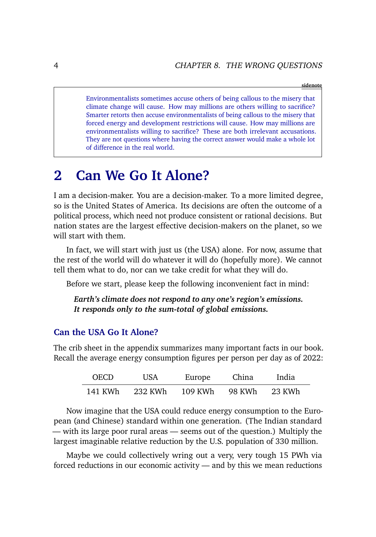#### **sidenote**

Environmentalists sometimes accuse others of being callous to the misery that climate change will cause. How may millions are others willing to sacrifice? Smarter retorts then accuse environmentalists of being callous to the misery that forced energy and development restrictions will cause. How may millions are environmentalists willing to sacrifice? These are both irrelevant accusations. They are not questions where having the correct answer would make a whole lot of difference in the real world.

### **2 Can We Go It Alone?**

I am a decision-maker. You are a decision-maker. To a more limited degree, so is the United States of America. Its decisions are often the outcome of a political process, which need not produce consistent or rational decisions. But nation states are the largest effective decision-makers on the planet, so we will start with them.

In fact, we will start with just us (the USA) alone. For now, assume that the rest of the world will do whatever it will do (hopefully more). We cannot tell them what to do, nor can we take credit for what they will do.

Before we start, please keep the following inconvenient fact in mind:

*Earth's climate does not respond to any one's region's emissions. It responds only to the sum-total of global emissions.*

#### **Can the USA Go It Alone?**

The crib sheet in the appendix summarizes many important facts in our book. Recall the average energy consumption figures per person per day as of 2022:

| <b>OECD</b> | <b>USA</b> | Europe  | China  | India  |
|-------------|------------|---------|--------|--------|
| 141 KWh     | 232 KWh    | 109 KWh | 98 KWh | 23 KWh |

Now imagine that the USA could reduce energy consumption to the European (and Chinese) standard within one generation. (The Indian standard — with its large poor rural areas — seems out of the question.) Multiply the largest imaginable relative reduction by the U.S. population of 330 million.

Maybe we could collectively wring out a very, very tough 15 PWh via forced reductions in our economic activity — and by this we mean reductions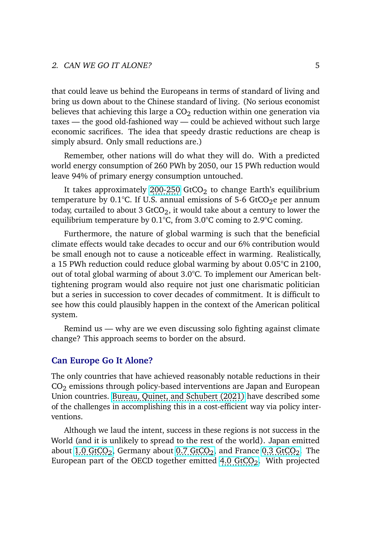that could leave us behind the Europeans in terms of standard of living and bring us down about to the Chinese standard of living. (No serious economist believes that achieving this large a  $CO<sub>2</sub>$  reduction within one generation via taxes — the good old-fashioned way — could be achieved without such large economic sacrifices. The idea that speedy drastic reductions are cheap is simply absurd. Only small reductions are.)

Remember, other nations will do what they will do. With a predicted world energy consumption of 260 PWh by 2050, our 15 PWh reduction would leave 94% of primary energy consumption untouched.

It takes approximately [200-250](https://www.nature.com/articles/s43247-020-00064-9) GtCO<sub>2</sub> to change Earth's equilibrium temperature by 0.1 $^{\circ}$ C. If U.S. annual emissions of 5-6 GtCO<sub>2</sub>e per annum today, curtailed to about 3 GtCO<sub>2</sub>, it would take about a century to lower the equilibrium temperature by 0.1°C, from 3.0°C coming to 2.9°C coming.

Furthermore, the nature of global warming is such that the beneficial climate effects would take decades to occur and our 6% contribution would be small enough not to cause a noticeable effect in warming. Realistically, a 15 PWh reduction could reduce global warming by about 0.05°C in 2100, out of total global warming of about 3.0°C. To implement our American belttightening program would also require not just one charismatic politician but a series in succession to cover decades of commitment. It is difficult to see how this could plausibly happen in the context of the American political system.

Remind us — why are we even discussing solo fighting against climate change? This approach seems to border on the absurd.

#### **Can Europe Go It Alone?**

The only countries that have achieved reasonably notable reductions in their CO<sup>2</sup> emissions through policy-based interventions are Japan and European Union countries. [Bureau, Quinet, and Schubert \(2021\)](https://www.cambridge.org/core/journals/journal-of-benefit-cost-analysis/article/benefitcost-analysis-for-climate-action/AFAA7A4C26F641C5E9AA917E2589A2CF) have described some of the challenges in accomplishing this in a cost-efficient way via policy interventions.

Although we laud the intent, success in these regions is not success in the World (and it is unlikely to spread to the rest of the world). Japan emitted about [1.0 GtCO](https://www.macrotrends.net/countries/FRA/france/carbon-co2-emissions)<sub>2</sub>, Germany about 0.7 GtCO<sub>2</sub>, and France [0.3 GtCO](https://www.macrotrends.net/countries/FRA/france/carbon-co2-emissions)<sub>2</sub>. The European part of the OECD together emitted  $4.0 \text{ GtCO}_2$ . With projected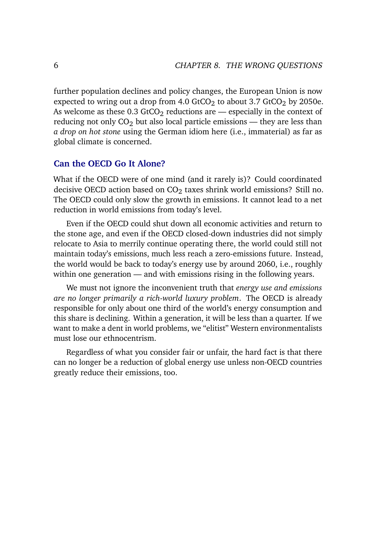further population declines and policy changes, the European Union is now expected to wring out a drop from 4.0 GtCO<sub>2</sub> to about 3.7 GtCO<sub>2</sub> by 2050e. As welcome as these  $0.3$  GtCO<sub>2</sub> reductions are  $-$  especially in the context of reducing not only  $CO<sub>2</sub>$  but also local particle emissions — they are less than *a drop on hot stone* using the German idiom here (i.e., immaterial) as far as global climate is concerned.

#### **Can the OECD Go It Alone?**

What if the OECD were of one mind (and it rarely is)? Could coordinated decisive OECD action based on  $CO<sub>2</sub>$  taxes shrink world emissions? Still no. The OECD could only slow the growth in emissions. It cannot lead to a net reduction in world emissions from today's level.

Even if the OECD could shut down all economic activities and return to the stone age, and even if the OECD closed-down industries did not simply relocate to Asia to merrily continue operating there, the world could still not maintain today's emissions, much less reach a zero-emissions future. Instead, the world would be back to today's energy use by around 2060, i.e., roughly within one generation — and with emissions rising in the following years.

We must not ignore the inconvenient truth that *energy use and emissions are no longer primarily a rich-world luxury problem*. The OECD is already responsible for only about one third of the world's energy consumption and this share is declining. Within a generation, it will be less than a quarter. If we want to make a dent in world problems, we "elitist" Western environmentalists must lose our ethnocentrism.

Regardless of what you consider fair or unfair, the hard fact is that there can no longer be a reduction of global energy use unless non-OECD countries greatly reduce their emissions, too.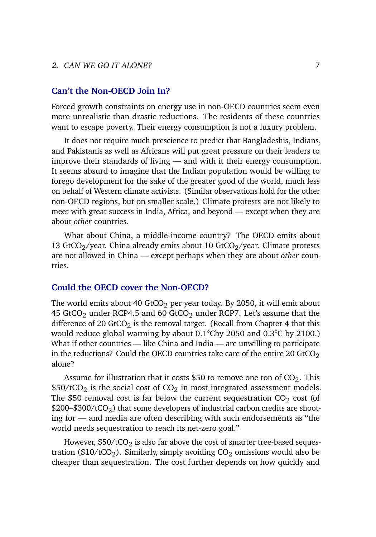#### 2. CAN WE GO IT ALONE?  $7$

### **Can't the Non-OECD Join In?**

Forced growth constraints on energy use in non-OECD countries seem even more unrealistic than drastic reductions. The residents of these countries want to escape poverty. Their energy consumption is not a luxury problem.

It does not require much prescience to predict that Bangladeshis, Indians, and Pakistanis as well as Africans will put great pressure on their leaders to improve their standards of living — and with it their energy consumption. It seems absurd to imagine that the Indian population would be willing to forego development for the sake of the greater good of the world, much less on behalf of Western climate activists. (Similar observations hold for the other non-OECD regions, but on smaller scale.) Climate protests are not likely to meet with great success in India, Africa, and beyond — except when they are about *other* countries.

What about China, a middle-income country? The OECD emits about 13 GtCO $_2$ /year. China already emits about 10 GtCO $_2$ /year. Climate protests are not allowed in China — except perhaps when they are about *other* countries.

#### **Could the OECD cover the Non-OECD?**

The world emits about 40 GtCO<sub>2</sub> per year today. By 2050, it will emit about 45 GtCO<sub>2</sub> under RCP4.5 and 60 GtCO<sub>2</sub> under RCP7. Let's assume that the difference of 20 GtCO<sub>2</sub> is the removal target. (Recall from Chapter 4 that this would reduce global warming by about 0.1°Cby 2050 and 0.3°C by 2100.) What if other countries — like China and India — are unwilling to participate in the reductions? Could the OECD countries take care of the entire 20 GtCO<sub>2</sub> alone?

Assume for illustration that it costs \$50 to remove one ton of  $CO<sub>2</sub>$ . This  $$50/tCO<sub>2</sub>$  is the social cost of CO<sub>2</sub> in most integrated assessment models. The \$50 removal cost is far below the current sequestration  $CO<sub>2</sub>$  cost (of  $$200–$300/tCO<sub>2</sub>)$  that some developers of industrial carbon credits are shooting for — and media are often describing with such endorsements as "the world needs sequestration to reach its net-zero goal."

However,  $$50/tCO<sub>2</sub>$  is also far above the cost of smarter tree-based sequestration (\$10/tCO<sub>2</sub>). Similarly, simply avoiding  $CO<sub>2</sub>$  omissions would also be cheaper than sequestration. The cost further depends on how quickly and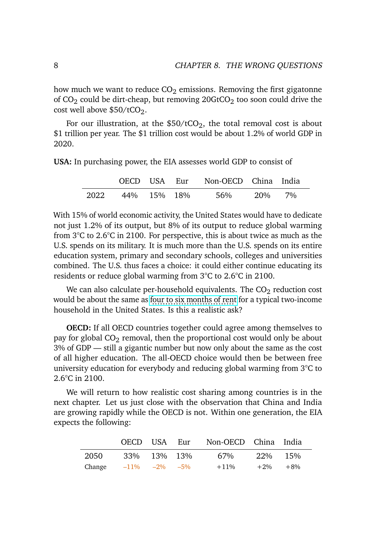how much we want to reduce  $CO<sub>2</sub>$  emissions. Removing the first gigatonne of  $CO<sub>2</sub>$  could be dirt-cheap, but removing  $20GtCO<sub>2</sub>$  too soon could drive the cost well above  $$50/tCO<sub>2</sub>$ .

For our illustration, at the  $$50/tCO<sub>2</sub>$ , the total removal cost is about \$1 trillion per year. The \$1 trillion cost would be about 1.2% of world GDP in 2020.

**USA:** In purchasing power, the EIA assesses world GDP to consist of

|      | OECD USA Eur |  | Non-OECD China India |     |    |  |
|------|--------------|--|----------------------|-----|----|--|
| 2022 | 44% 15% 18%  |  | 56%                  | 20% | 7% |  |

With 15% of world economic activity, the United States would have to dedicate not just 1.2% of its output, but 8% of its output to reduce global warming from 3°C to 2.6°C in 2100. For perspective, this is about twice as much as the U.S. spends on its military. It is much more than the U.S. spends on its entire education system, primary and secondary schools, colleges and universities combined. The U.S. thus faces a choice: it could either continue educating its residents or reduce global warming from 3°C to 2.6°C in 2100.

We can also calculate per-household equivalents. The  $CO<sub>2</sub>$  reduction cost would be about the same as f<u>our to six months of ren</u>t for a typical two-income household in the United States. Is this a realistic ask?

**OECD:** If all OECD countries together could agree among themselves to pay for global  $CO<sub>2</sub>$  removal, then the proportional cost would only be about 3% of GDP — still a gigantic number but now only about the same as the cost of all higher education. The all-OECD choice would then be between free university education for everybody and reducing global warming from 3°C to 2.6°C in 2100.

We will return to how realistic cost sharing among countries is in the next chapter. Let us just close with the observation that China and India are growing rapidly while the OECD is not. Within one generation, the EIA expects the following:

|                              | OECD USA Eur |  | Non-OECD China India |              |  |
|------------------------------|--------------|--|----------------------|--------------|--|
| 2050                         | 33% 13% 13%  |  | 67%                  | 22\% 15\%    |  |
| Change $-11\%$ $-2\%$ $-5\%$ |              |  | $+11\%$              | $+2\% + 8\%$ |  |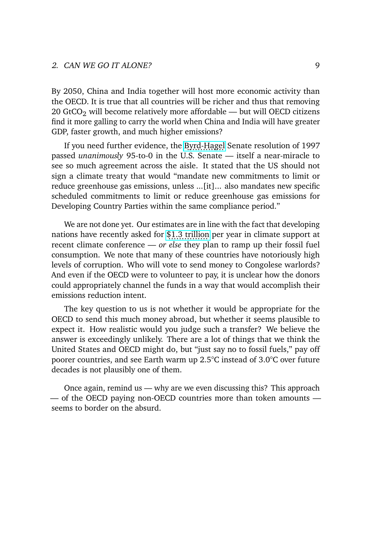By 2050, China and India together will host more economic activity than the OECD. It is true that all countries will be richer and thus that removing 20 GtCO<sub>2</sub> will become relatively more affordable — but will OECD citizens find it more galling to carry the world when China and India will have greater GDP, faster growth, and much higher emissions?

If you need further evidence, the [Byrd-Hagel](https://en.wikipedia.org/wiki/Byrd%E2%80%93Hagel_Resolution) Senate resolution of 1997 passed *unanimously* 95-to-0 in the U.S. Senate — itself a near-miracle to see so much agreement across the aisle. It stated that the US should not sign a climate treaty that would "mandate new commitments to limit or reduce greenhouse gas emissions, unless ...[it]... also mandates new specific scheduled commitments to limit or reduce greenhouse gas emissions for Developing Country Parties within the same compliance period."

We are not done yet. Our estimates are in line with the fact that developing nations have recently asked for [\\$1.3 trillion](https://www.wsj.com/articles/climate-finance-china-india-11636039142) per year in climate support at recent climate conference — *or else* they plan to ramp up their fossil fuel consumption. We note that many of these countries have notoriously high levels of corruption. Who will vote to send money to Congolese warlords? And even if the OECD were to volunteer to pay, it is unclear how the donors could appropriately channel the funds in a way that would accomplish their emissions reduction intent.

The key question to us is not whether it would be appropriate for the OECD to send this much money abroad, but whether it seems plausible to expect it. How realistic would you judge such a transfer? We believe the answer is exceedingly unlikely. There are a lot of things that we think the United States and OECD might do, but "just say no to fossil fuels," pay off poorer countries, and see Earth warm up 2.5°C instead of 3.0°C over future decades is not plausibly one of them.

Once again, remind us — why are we even discussing this? This approach — of the OECD paying non-OECD countries more than token amounts seems to border on the absurd.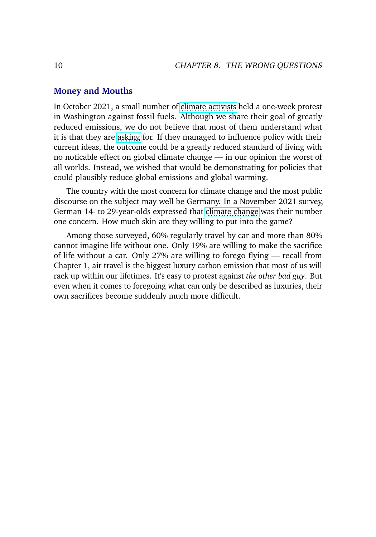#### **Money and Mouths**

In October 2021, a small number of [climate activists](https://apnews.com/article/joe-biden-business-environment-and-nature-arrests-environment-52190f9314ae79e96cf12f05668d30d2) held a one-week protest in Washington against fossil fuels. Although we share their goal of greatly reduced emissions, we do not believe that most of them understand what it is that they are [asking](https://www.reuters.com/business/cop/young-activists-take-spotlight-day-un-climate-talks-2021-11-05/) for. If they managed to influence policy with their current ideas, the outcome could be a greatly reduced standard of living with no noticable effect on global climate change — in our opinion the worst of all worlds. Instead, we wished that would be demonstrating for policies that could plausibly reduce global emissions and global warming.

The country with the most concern for climate change and the most public discourse on the subject may well be Germany. In a November 2021 survey, German 14- to 29-year-olds expressed that c<u>limate chang</u>e was their number one concern. How much skin are they willing to put into the game?

Among those surveyed, 60% regularly travel by car and more than 80% cannot imagine life without one. Only 19% are willing to make the sacrifice of life without a car. Only 27% are willing to forego flying — recall from Chapter 1, air travel is the biggest luxury carbon emission that most of us will rack up within our lifetimes. It's easy to protest against *the other bad guy*. But even when it comes to foregoing what can only be described as luxuries, their own sacrifices become suddenly much more difficult.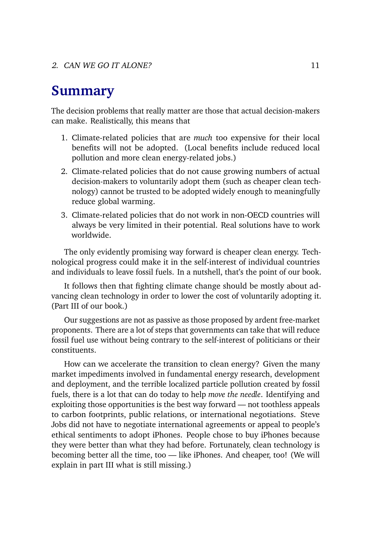### **Summary**

The decision problems that really matter are those that actual decision-makers can make. Realistically, this means that

- 1. Climate-related policies that are *much* too expensive for their local benefits will not be adopted. (Local benefits include reduced local pollution and more clean energy-related jobs.)
- 2. Climate-related policies that do not cause growing numbers of actual decision-makers to voluntarily adopt them (such as cheaper clean technology) cannot be trusted to be adopted widely enough to meaningfully reduce global warming.
- 3. Climate-related policies that do not work in non-OECD countries will always be very limited in their potential. Real solutions have to work worldwide.

The only evidently promising way forward is cheaper clean energy. Technological progress could make it in the self-interest of individual countries and individuals to leave fossil fuels. In a nutshell, that's the point of our book.

It follows then that fighting climate change should be mostly about advancing clean technology in order to lower the cost of voluntarily adopting it. (Part III of our book.)

Our suggestions are not as passive as those proposed by ardent free-market proponents. There are a lot of steps that governments can take that will reduce fossil fuel use without being contrary to the self-interest of politicians or their constituents.

How can we accelerate the transition to clean energy? Given the many market impediments involved in fundamental energy research, development and deployment, and the terrible localized particle pollution created by fossil fuels, there is a lot that can do today to help *move the needle*. Identifying and exploiting those opportunities is the best way forward — not toothless appeals to carbon footprints, public relations, or international negotiations. Steve Jobs did not have to negotiate international agreements or appeal to people's ethical sentiments to adopt iPhones. People chose to buy iPhones because they were better than what they had before. Fortunately, clean technology is becoming better all the time, too — like iPhones. And cheaper, too! (We will explain in part III what is still missing.)